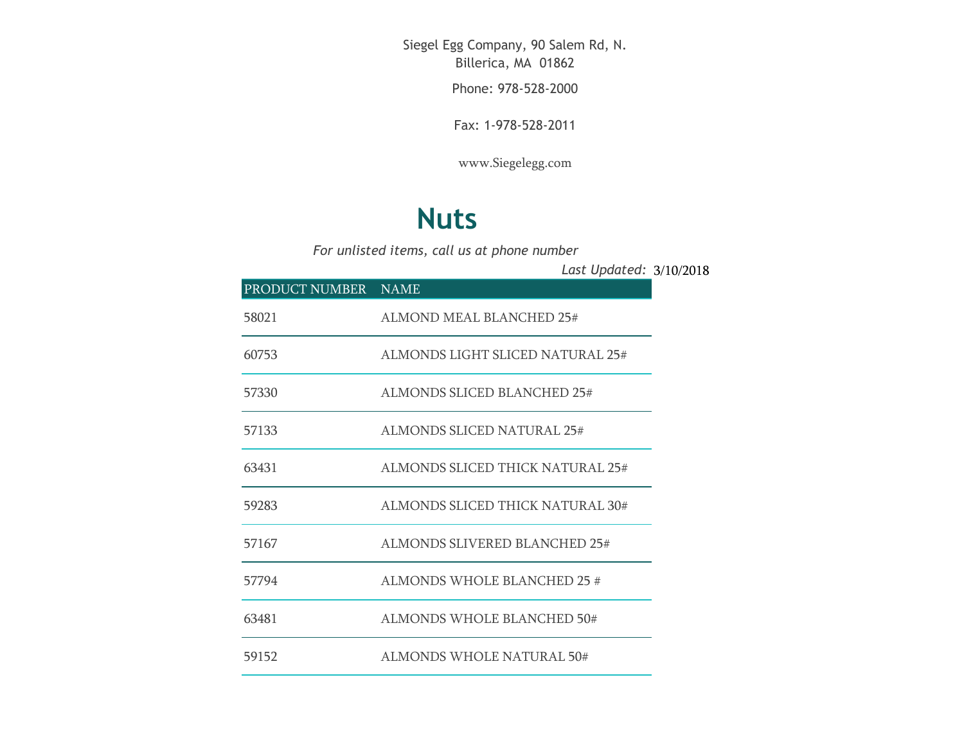Siegel Egg Company, 90 Salem Rd, N. Billerica, MA 01862

Phone: 978-528-2000

Fax: 1-978-528-2011

[www.Siegelegg.com](http://www.siegelegg.com/)

## **Nuts**

*For unlisted items, call us at phone number*

3/10/2018 *Last Updated:*

| PRODUCT NUMBER NAME |                                   |
|---------------------|-----------------------------------|
| 58021               | <b>ALMOND MEAL BLANCHED 25#</b>   |
| 60753               | ALMONDS LIGHT SLICED NATURAL 25#  |
| 57330               | ALMONDS SLICED BLANCHED 25#       |
| 57133               | <b>ALMONDS SLICED NATURAL 25#</b> |
| 63431               | ALMONDS SLICED THICK NATURAL 25#  |
| 59283               | ALMONDS SLICED THICK NATURAL 30#  |
| 57167               | ALMONDS SLIVERED BLANCHED 25#     |
| 57794               | ALMONDS WHOLE BLANCHED 25 #       |
| 63481               | ALMONDS WHOLE BLANCHED 50#        |
| 59152               | <b>ALMONDS WHOLE NATURAL 50#</b>  |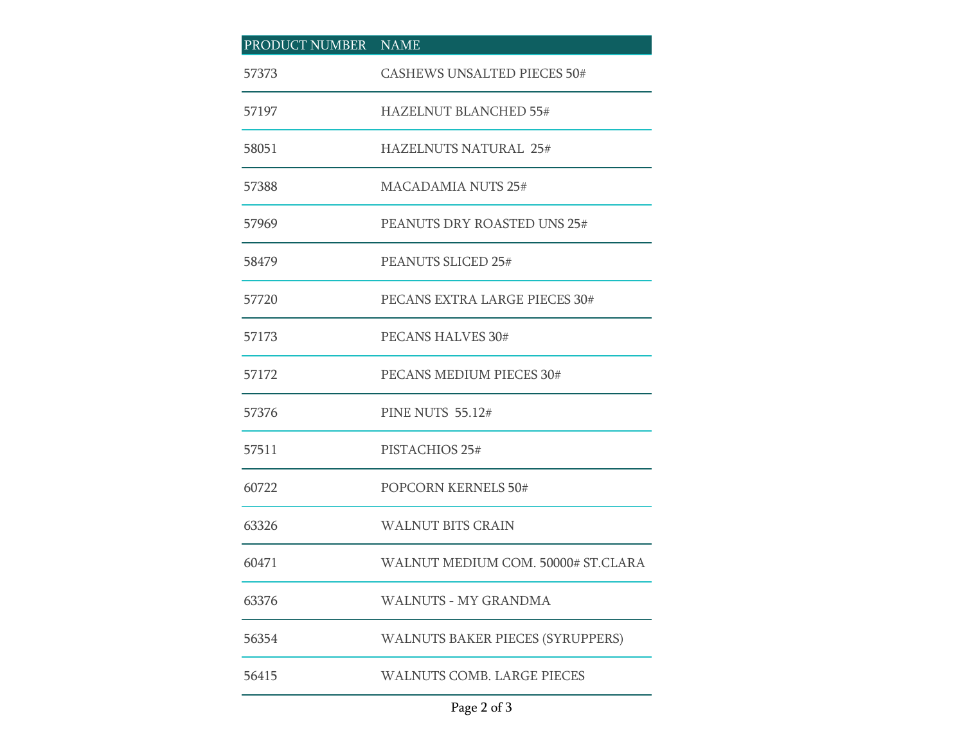| PRODUCT NUMBER NAME |                                    |
|---------------------|------------------------------------|
| 57373               | <b>CASHEWS UNSALTED PIECES 50#</b> |
| 57197               | HAZELNUT BLANCHED 55#              |
| 58051               | <b>HAZELNUTS NATURAL 25#</b>       |
| 57388               | <b>MACADAMIA NUTS 25#</b>          |
| 57969               | PEANUTS DRY ROASTED UNS 25#        |
| 58479               | PEANUTS SLICED 25#                 |
| 57720               | PECANS EXTRA LARGE PIECES 30#      |
| 57173               | PECANS HALVES 30#                  |
| 57172               | PECANS MEDIUM PIECES 30#           |
| 57376               | <b>PINE NUTS 55.12#</b>            |
| 57511               | PISTACHIOS 25#                     |
| 60722               | POPCORN KERNELS 50#                |
| 63326               | <b>WALNUT BITS CRAIN</b>           |
| 60471               | WALNUT MEDIUM COM. 50000# ST.CLARA |
| 63376               | <b>WALNUTS - MY GRANDMA</b>        |
| 56354               | WALNUTS BAKER PIECES (SYRUPPERS)   |
| 56415               | <b>WALNUTS COMB. LARGE PIECES</b>  |